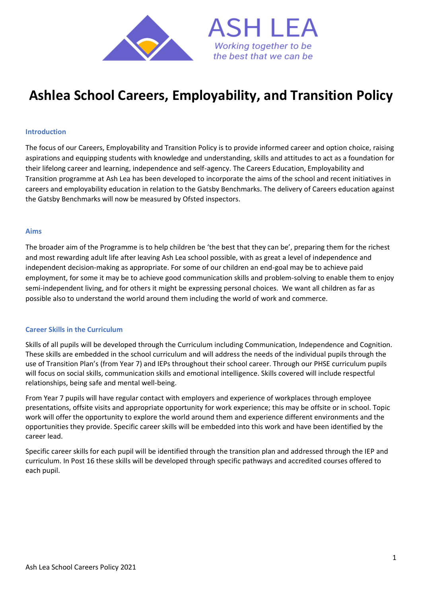

# **Ashlea School Careers, Employability, and Transition Policy**

## **Introduction**

The focus of our Careers, Employability and Transition Policy is to provide informed career and option choice, raising aspirations and equipping students with knowledge and understanding, skills and attitudes to act as a foundation for their lifelong career and learning, independence and self-agency. The Careers Education, Employability and Transition programme at Ash Lea has been developed to incorporate the aims of the school and recent initiatives in careers and employability education in relation to the Gatsby Benchmarks. The delivery of Careers education against the Gatsby Benchmarks will now be measured by Ofsted inspectors.

#### **Aims**

The broader aim of the Programme is to help children be 'the best that they can be', preparing them for the richest and most rewarding adult life after leaving Ash Lea school possible, with as great a level of independence and independent decision-making as appropriate. For some of our children an end-goal may be to achieve paid employment, for some it may be to achieve good communication skills and problem-solving to enable them to enjoy semi-independent living, and for others it might be expressing personal choices. We want all children as far as possible also to understand the world around them including the world of work and commerce.

#### **Career Skills in the Curriculum**

Skills of all pupils will be developed through the Curriculum including Communication, Independence and Cognition. These skills are embedded in the school curriculum and will address the needs of the individual pupils through the use of Transition Plan's (from Year 7) and IEPs throughout their school career. Through our PHSE curriculum pupils will focus on social skills, communication skills and emotional intelligence. Skills covered will include respectful relationships, being safe and mental well-being.

From Year 7 pupils will have regular contact with employers and experience of workplaces through employee presentations, offsite visits and appropriate opportunity for work experience; this may be offsite or in school. Topic work will offer the opportunity to explore the world around them and experience different environments and the opportunities they provide. Specific career skills will be embedded into this work and have been identified by the career lead.

Specific career skills for each pupil will be identified through the transition plan and addressed through the IEP and curriculum. In Post 16 these skills will be developed through specific pathways and accredited courses offered to each pupil.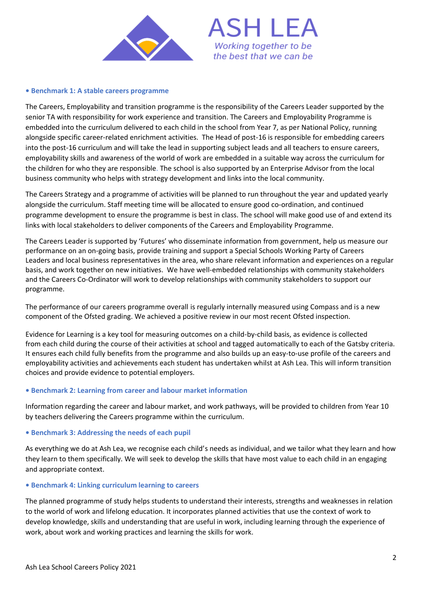



### **• Benchmark 1: A stable careers programme**

The Careers, Employability and transition programme is the responsibility of the Careers Leader supported by the senior TA with responsibility for work experience and transition. The Careers and Employability Programme is embedded into the curriculum delivered to each child in the school from Year 7, as per National Policy, running alongside specific career-related enrichment activities. The Head of post-16 is responsible for embedding careers into the post-16 curriculum and will take the lead in supporting subject leads and all teachers to ensure careers, employability skills and awareness of the world of work are embedded in a suitable way across the curriculum for the children for who they are responsible. The school is also supported by an Enterprise Advisor from the local business community who helps with strategy development and links into the local community.

The Careers Strategy and a programme of activities will be planned to run throughout the year and updated yearly alongside the curriculum. Staff meeting time will be allocated to ensure good co-ordination, and continued programme development to ensure the programme is best in class. The school will make good use of and extend its links with local stakeholders to deliver components of the Careers and Employability Programme.

The Careers Leader is supported by 'Futures' who disseminate information from government, help us measure our performance on an on-going basis, provide training and support a Special Schools Working Party of Careers Leaders and local business representatives in the area, who share relevant information and experiences on a regular basis, and work together on new initiatives. We have well-embedded relationships with community stakeholders and the Careers Co-Ordinator will work to develop relationships with community stakeholders to support our programme.

The performance of our careers programme overall is regularly internally measured using Compass and is a new component of the Ofsted grading. We achieved a positive review in our most recent Ofsted inspection.

Evidence for Learning is a key tool for measuring outcomes on a child-by-child basis, as evidence is collected from each child during the course of their activities at school and tagged automatically to each of the Gatsby criteria. It ensures each child fully benefits from the programme and also builds up an easy-to-use profile of the careers and employability activities and achievements each student has undertaken whilst at Ash Lea. This will inform transition choices and provide evidence to potential employers.

## **• Benchmark 2: Learning from career and labour market information**

Information regarding the career and labour market, and work pathways, will be provided to children from Year 10 by teachers delivering the Careers programme within the curriculum.

#### **• Benchmark 3: Addressing the needs of each pupil**

As everything we do at Ash Lea, we recognise each child's needs as individual, and we tailor what they learn and how they learn to them specifically. We will seek to develop the skills that have most value to each child in an engaging and appropriate context.

#### **• Benchmark 4: Linking curriculum learning to careers**

The planned programme of study helps students to understand their interests, strengths and weaknesses in relation to the world of work and lifelong education. It incorporates planned activities that use the context of work to develop knowledge, skills and understanding that are useful in work, including learning through the experience of work, about work and working practices and learning the skills for work.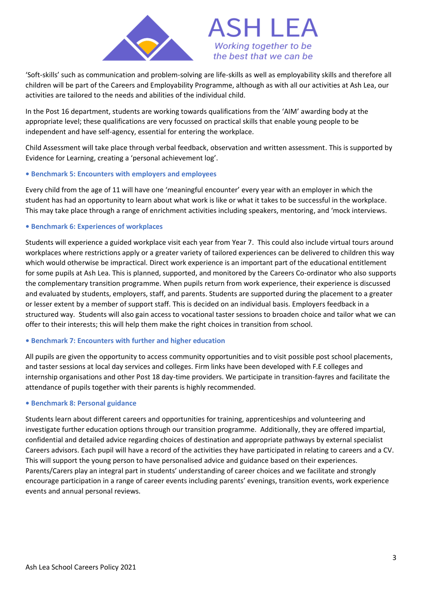

'Soft-skills' such as communication and problem-solving are life-skills as well as employability skills and therefore all children will be part of the Careers and Employability Programme, although as with all our activities at Ash Lea, our activities are tailored to the needs and abilities of the individual child.

In the Post 16 department, students are working towards qualifications from the 'AIM' awarding body at the appropriate level; these qualifications are very focussed on practical skills that enable young people to be independent and have self-agency, essential for entering the workplace.

Child Assessment will take place through verbal feedback, observation and written assessment. This is supported by Evidence for Learning, creating a 'personal achievement log'.

# **• Benchmark 5: Encounters with employers and employees**

Every child from the age of 11 will have one 'meaningful encounter' every year with an employer in which the student has had an opportunity to learn about what work is like or what it takes to be successful in the workplace. This may take place through a range of enrichment activities including speakers, mentoring, and 'mock interviews.

## **• Benchmark 6: Experiences of workplaces**

Students will experience a guided workplace visit each year from Year 7. This could also include virtual tours around workplaces where restrictions apply or a greater variety of tailored experiences can be delivered to children this way which would otherwise be impractical. Direct work experience is an important part of the educational entitlement for some pupils at Ash Lea. This is planned, supported, and monitored by the Careers Co-ordinator who also supports the complementary transition programme. When pupils return from work experience, their experience is discussed and evaluated by students, employers, staff, and parents. Students are supported during the placement to a greater or lesser extent by a member of support staff. This is decided on an individual basis. Employers feedback in a structured way. Students will also gain access to vocational taster sessions to broaden choice and tailor what we can offer to their interests; this will help them make the right choices in transition from school.

## **• Benchmark 7: Encounters with further and higher education**

All pupils are given the opportunity to access community opportunities and to visit possible post school placements, and taster sessions at local day services and colleges. Firm links have been developed with F.E colleges and internship organisations and other Post 18 day-time providers. We participate in transition-fayres and facilitate the attendance of pupils together with their parents is highly recommended.

## **• Benchmark 8: Personal guidance**

Students learn about different careers and opportunities for training, apprenticeships and volunteering and investigate further education options through our transition programme. Additionally, they are offered impartial, confidential and detailed advice regarding choices of destination and appropriate pathways by external specialist Careers advisors. Each pupil will have a record of the activities they have participated in relating to careers and a CV. This will support the young person to have personalised advice and guidance based on their experiences. Parents/Carers play an integral part in students' understanding of career choices and we facilitate and strongly encourage participation in a range of career events including parents' evenings, transition events, work experience events and annual personal reviews.